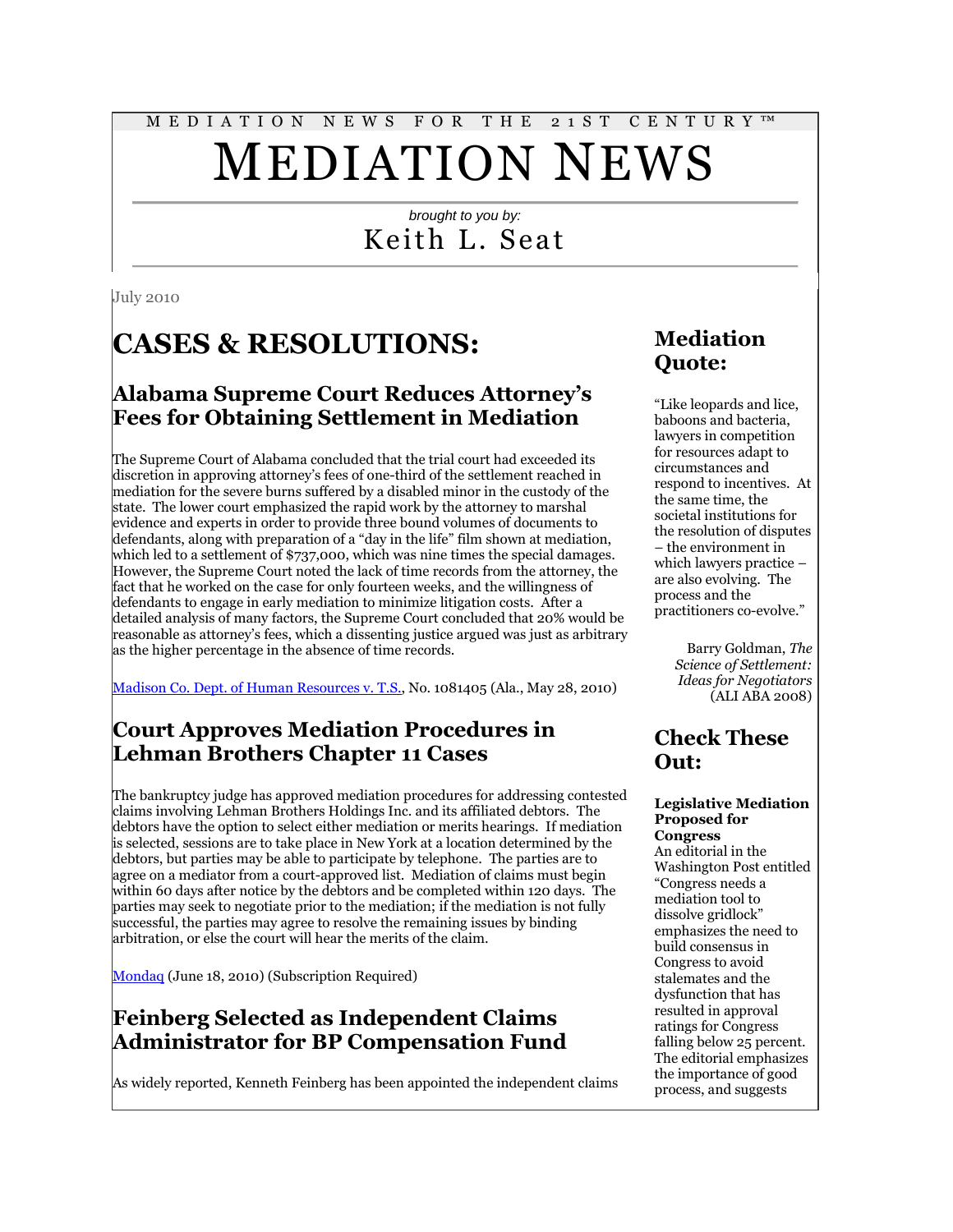# M E D I A T I O N N E W S F O R T H E 2 1 S T C E N T U R Y ™ MEDIATION NEWS

# *brought to you by:* Keith L. Seat

July 2010

# **CASES & RESOLUTIONS:**

### **Alabama Supreme Court Reduces Attorney's Fees for Obtaining Settlement in Mediation**

The Supreme Court of Alabama concluded that the trial court had exceeded its discretion in approving attorney's fees of one-third of the settlement reached in mediation for the severe burns suffered by a disabled minor in the custody of the state. The lower court emphasized the rapid work by the attorney to marshal evidence and experts in order to provide three bound volumes of documents to defendants, along with preparation of a "day in the life" film shown at mediation, which led to a settlement of \$737,000, which was nine times the special damages. However, the Supreme Court noted the lack of time records from the attorney, the fact that he worked on the case for only fourteen weeks, and the willingness of defendants to engage in early mediation to minimize litigation costs. After a detailed analysis of many factors, the Supreme Court concluded that 20% would be reasonable as attorney's fees, which a dissenting justice argued was just as arbitrary as the higher percentage in the absence of time records.

[Madison Co. Dept. of Human Resources v. T.S.,](http://www.leagle.com/unsecure/page.htm?shortname=inalco20100528012) No. 1081405 (Ala., May 28, 2010)

## **Court Approves Mediation Procedures in Lehman Brothers Chapter 11 Cases**

The bankruptcy judge has approved mediation procedures for addressing contested claims involving Lehman Brothers Holdings Inc. and its affiliated debtors. The debtors have the option to select either mediation or merits hearings. If mediation is selected, sessions are to take place in New York at a location determined by the debtors, but parties may be able to participate by telephone. The parties are to agree on a mediator from a court-approved list. Mediation of claims must begin within 60 days after notice by the debtors and be completed within 120 days. The parties may seek to negotiate prior to the mediation; if the mediation is not fully successful, the parties may agree to resolve the remaining issues by binding arbitration, or else the court will hear the merits of the claim.

[Mondaq](http://tinyurl.com/2ejqzs9) (June 18, 2010) (Subscription Required)

## **Feinberg Selected as Independent Claims Administrator for BP Compensation Fund**

As widely reported, Kenneth Feinberg has been appointed the independent claims

# **Mediation Quote:**

"Like leopards and lice, baboons and bacteria, lawyers in competition for resources adapt to circumstances and respond to incentives. At the same time, the societal institutions for the resolution of disputes – the environment in which lawyers practice – are also evolving. The process and the practitioners co-evolve."

> Barry Goldman, *The Science of Settlement: Ideas for Negotiators* (ALI ABA 2008)

## **Check These Out:**

#### **Legislative Mediation Proposed for Congress**

An editorial in the Washington Post entitled "Congress needs a mediation tool to dissolve gridlock" emphasizes the need to build consensus in Congress to avoid stalemates and the dysfunction that has resulted in approval ratings for Congress falling below 25 percent. The editorial emphasizes the importance of good process, and suggests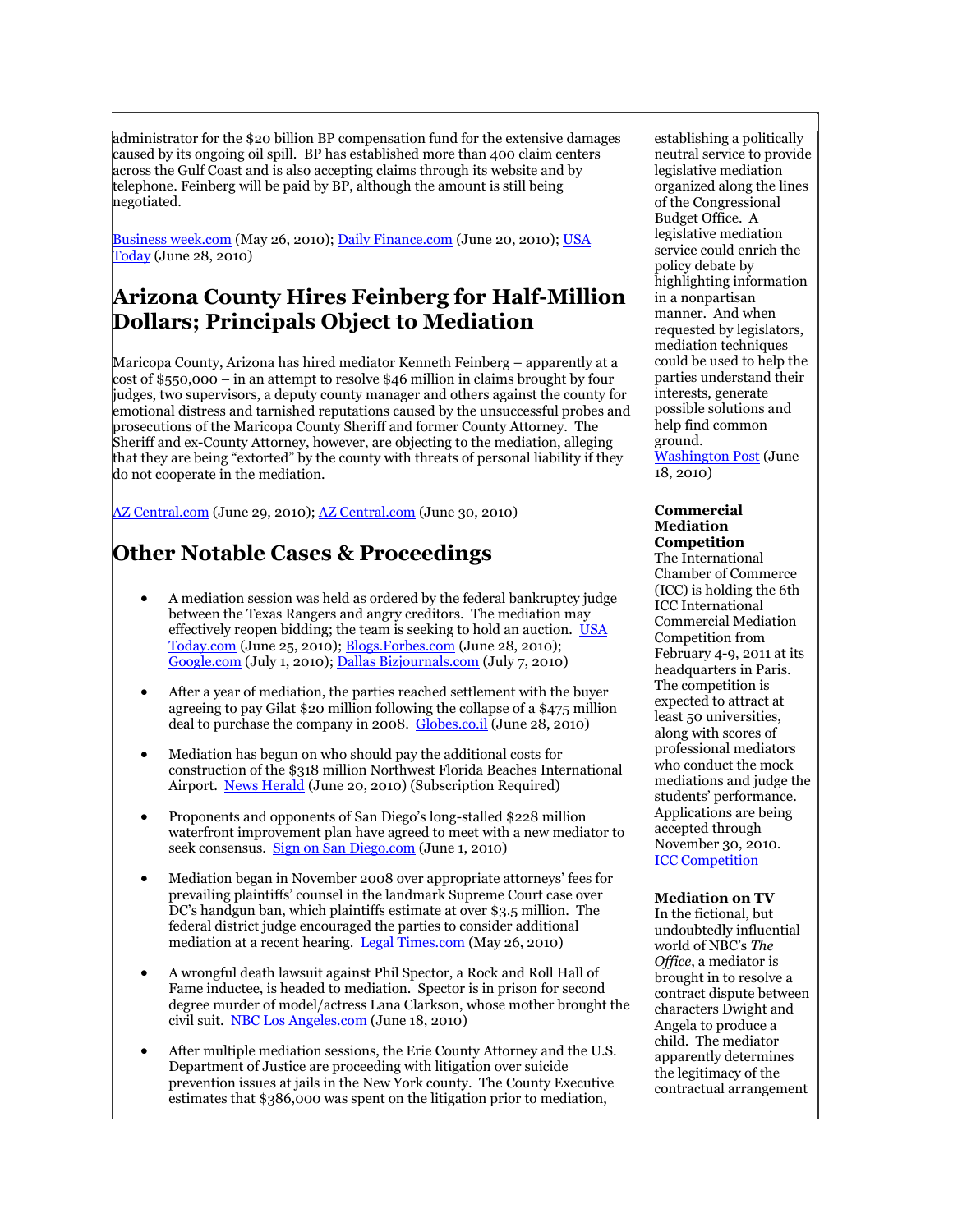administrator for the \$20 billion BP compensation fund for the extensive damages caused by its ongoing oil spill. BP has established more than 400 claim centers across the Gulf Coast and is also accepting claims through its website and by telephone. Feinberg will be paid by BP, although the amount is still being negotiated.

[Business week.com](http://tinyurl.com/29nmst3) (May 26, 2010); [Daily Finance.com](http://tinyurl.com/2b93u3q) (June 20, 2010); USA [Today](http://www.usatoday.com/news/nation/2010-06-27-Feinberg_N.htm) (June 28, 2010)

# **Arizona County Hires Feinberg for Half-Million Dollars; Principals Object to Mediation**

Maricopa County, Arizona has hired mediator Kenneth Feinberg – apparently at a cost of \$550,000 – in an attempt to resolve \$46 million in claims brought by four judges, two supervisors, a deputy county manager and others against the county for emotional distress and tarnished reputations caused by the unsuccessful probes and prosecutions of the Maricopa County Sheriff and former County Attorney. The Sheriff and ex-County Attorney, however, are objecting to the mediation, alleging that they are being "extorted" by the county with threats of personal liability if they do not cooperate in the mediation.

[AZ Central.com](http://www.azcentral.com/members/Blog/LaurieRoberts/87904) (June 29, 2010); [AZ Central.com](http://www.azcentral.com/members/Blog/LaurieRoberts/87975) (June 30, 2010)

# **Other Notable Cases & Proceedings**

- A mediation session was held as ordered by the federal bankruptcy judge between the Texas Rangers and angry creditors. The mediation may effectively reopen bidding; the team is seeking to hold an auction. [USA](http://www.usatoday.com/sports/baseball/al/2010-06-24-1567651940_x.htm)  [Today.com](http://www.usatoday.com/sports/baseball/al/2010-06-24-1567651940_x.htm) (June 25, 2010); [Blogs.Forbes.com](http://tinyurl.com/24z4rzj) (June 28, 2010); [Google.com](http://tinyurl.com/32clk9p) (July 1, 2010)[; Dallas Bizjournals.com](http://dallas.bizjournals.com/dallas/stories/2010/07/05/daily22.html) (July 7, 2010)
- After a year of mediation, the parties reached settlement with the buyer agreeing to pay Gilat \$20 million following the collapse of a \$475 million deal to purchase the company in 2008. [Globes.co.il](http://www.globes.co.il/serveen/globes/docview.asp?did=1000570245&fid=1725) (June 28, 2010)
- Mediation has begun on who should pay the additional costs for construction of the \$318 million Northwest Florida Beaches International Airport. [News Herald](http://tinyurl.com/38cah3v) (June 20, 2010) (Subscription Required)
- Proponents and opponents of San Diego's long-stalled \$228 million waterfront improvement plan have agreed to meet with a new mediator to seek consensus. [Sign on San Diego.com](http://tinyurl.com/2cvby6l) (June 1, 2010)
- Mediation began in November 2008 over appropriate attorneys' fees for prevailing plaintiffs' counsel in the landmark Supreme Court case over DC's handgun ban, which plaintiffs estimate at over \$3.5 million. The federal district judge encouraged the parties to consider additional mediation at a recent hearing. [Legal Times.com](http://tinyurl.com/38a82px) (May 26, 2010)
- A wrongful death lawsuit against Phil Spector, a Rock and Roll Hall of Fame inductee, is headed to mediation. Spector is in prison for second degree murder of model/actress Lana Clarkson, whose mother brought the civil suit. [NBC Los Angeles.com](http://tinyurl.com/2cb46h8) (June 18, 2010)
- After multiple mediation sessions, the Erie County Attorney and the U.S. Department of Justice are proceeding with litigation over suicide prevention issues at jails in the New York county. The County Executive estimates that \$386,000 was spent on the litigation prior to mediation,

establishing a politically neutral service to provide legislative mediation organized along the lines of the Congressional Budget Office. A legislative mediation service could enrich the policy debate by highlighting information in a nonpartisan manner. And when requested by legislators, mediation techniques could be used to help the parties understand their interests, generate possible solutions and help find common ground.

[Washington Post](http://www.washingtonpost.com/wp-dyn/content/article/2010/06/17/AR2010061704566.html) (June 18, 2010)

#### **Commercial Mediation Competition**

The International Chamber of Commerce (ICC) is holding the 6th ICC International Commercial Mediation Competition from February 4-9, 2011 at its headquarters in Paris. The competition is expected to attract at least 50 universities, along with scores of professional mediators who conduct the mock mediations and judge the students' performance. Applications are being accepted through November 30, 2010. [ICC Competition](http://www.iccwbo.org/court/adr/competition/id31918/intranet.html)

#### **Mediation on TV**

In the fictional, but undoubtedly influential world of NBC's *The Office*, a mediator is brought in to resolve a contract dispute between characters Dwight and Angela to produce a child. The mediator apparently determines the legitimacy of the contractual arrangement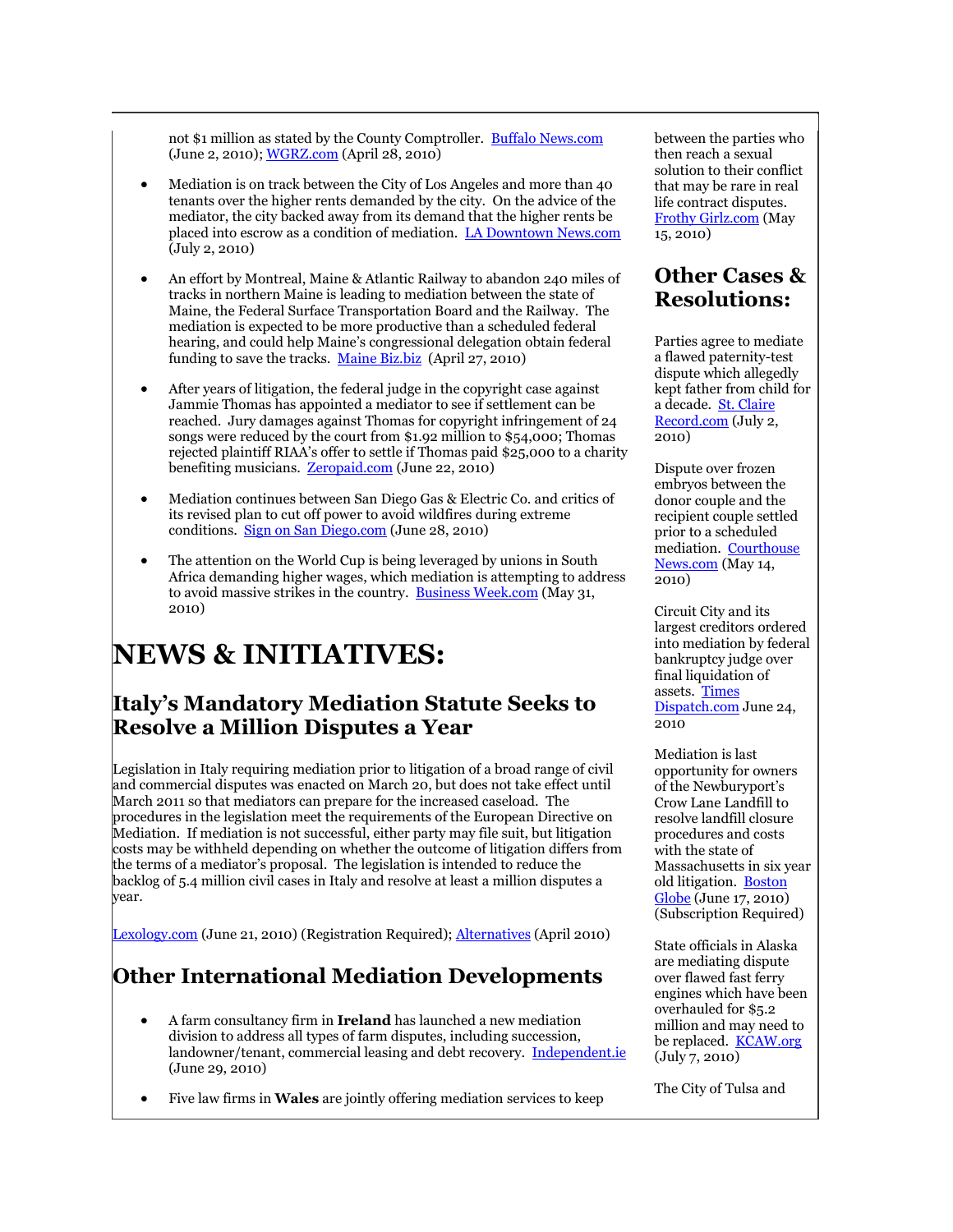not \$1 million as stated by the County Comptroller. [Buffalo News.com](http://www.buffalonews.com/2010/06/02/1068545/mediation-fails-for-feds-county.html) (June 2, 2010)[; WGRZ.com](http://www.wgrz.com/news/local/story.aspx?storyid=76360&provider=gnews) (April 28, 2010)

- Mediation is on track between the City of Los Angeles and more than 40 tenants over the higher rents demanded by the city. On the advice of the mediator, the city backed away from its demand that the higher rents be placed into escrow as a condition of mediation. [LA Downtown News.com](http://tinyurl.com/27kfzcz) (July 2, 2010)
- An effort by Montreal, Maine & Atlantic Railway to abandon 240 miles of tracks in northern Maine is leading to mediation between the state of Maine, the Federal Surface Transportation Board and the Railway. The mediation is expected to be more productive than a scheduled federal hearing, and could help Maine's congressional delegation obtain federal funding to save the tracks. [Maine Biz.biz](http://www.mainebiz.biz/news46239.html) (April 27, 2010)
- After years of litigation, the federal judge in the copyright case against Jammie Thomas has appointed a mediator to see if settlement can be reached. Jury damages against Thomas for copyright infringement of 24 songs were reduced by the court from \$1.92 million to \$54,000; Thomas rejected plaintiff RIAA's offer to settle if Thomas paid \$25,000 to a charity benefiting musicians. [Zeropaid.com](http://tinyurl.com/2uu5jr3) (June 22, 2010)
- Mediation continues between San Diego Gas & Electric Co. and critics of its revised plan to cut off power to avoid wildfires during extreme conditions. [Sign on San Diego.com](http://tinyurl.com/38d6s4u) (June 28, 2010)
- The attention on the World Cup is being leveraged by unions in South Africa demanding higher wages, which mediation is attempting to address to avoid massive strikes in the country. [Business Week.com](http://tinyurl.com/344h68e) (May 31, 2010)

# **NEWS & INITIATIVES:**

## **Italy's Mandatory Mediation Statute Seeks to Resolve a Million Disputes a Year**

Legislation in Italy requiring mediation prior to litigation of a broad range of civil and commercial disputes was enacted on March 20, but does not take effect until March 2011 so that mediators can prepare for the increased caseload. The procedures in the legislation meet the requirements of the European Directive on Mediation. If mediation is not successful, either party may file suit, but litigation costs may be withheld depending on whether the outcome of litigation differs from the terms of a mediator's proposal. The legislation is intended to reduce the backlog of 5.4 million civil cases in Italy and resolve at least a million disputes a year.

[Lexology.com](http://tinyurl.com/2aflsb5) (June 21, 2010) (Registration Required); [Alternatives](http://www.herbertsmith.com/NR/rdonlyres/FEB319A6-527E-4A6C-A926-2781A62B326A/0/ALT28_04forweb418.pdf) (April 2010)

## **Other International Mediation Developments**

- A farm consultancy firm in **Ireland** has launched a new mediation division to address all types of farm disputes, including succession, landowner/tenant, commercial leasing and debt recovery. **[Independent.ie](http://tinyurl.com/2ahf466)** (June 29, 2010)
- Five law firms in **Wales** are jointly offering mediation services to keep

between the parties who then reach a sexual solution to their conflict that may be rare in real life contract disputes. [Frothy Girlz.com](http://frothygirlz.com/2010/05/15/office-recap-the-chump/) (May 15, 2010)

## **Other Cases & Resolutions:**

Parties agree to mediate a flawed paternity-test dispute which allegedly kept father from child for a decade. [St. Claire](http://tinyurl.com/36wf4n9)  [Record.com](http://tinyurl.com/36wf4n9) (July 2,  $2010)$ 

Dispute over frozen embryos between the donor couple and the recipient couple settled prior to a scheduled mediation. [Courthouse](http://www.courthousenews.com/2010/05/14/27279.htm)  [News.com](http://www.courthousenews.com/2010/05/14/27279.htm) (May 14, 2010)

Circuit City and its largest creditors ordered into mediation by federal bankruptcy judge over final liquidation of assets. [Times](http://www2.timesdispatch.com/business/2010/jun/24/circgat24-ar-230656/)  [Dispatch.com](http://www2.timesdispatch.com/business/2010/jun/24/circgat24-ar-230656/) June 24, 2010

Mediation is last opportunity for owners of the Newburyport's Crow Lane Landfill to resolve landfill closure procedures and costs with the state of Massachusetts in six year old litigation. [Boston](http://tinyurl.com/2gxyk76)  [Globe](http://tinyurl.com/2gxyk76) (June 17, 2010) (Subscription Required)

State officials in Alaska are mediating dispute over flawed fast ferry engines which have been overhauled for \$5.2 million and may need to be replaced. **[KCAW.org](http://kcaw.org/modules/local_news/index.php?op=sideBlock&syndicated=true&ID=1254)** (July 7, 2010)

The City of Tulsa and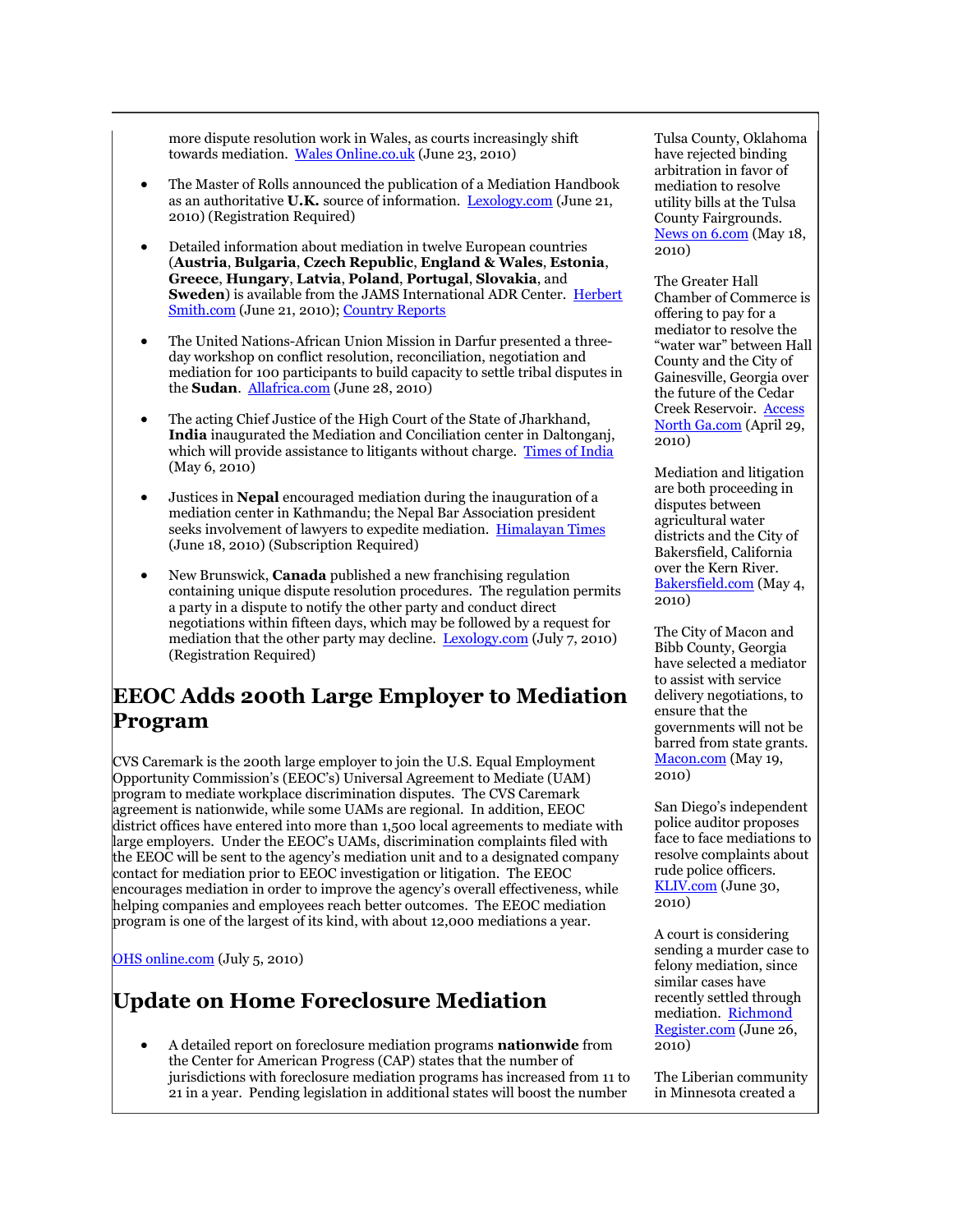more dispute resolution work in Wales, as courts increasingly shift towards mediation. [Wales Online.co.uk](http://tinyurl.com/2b6jg8u) (June 23, 2010)

- The Master of Rolls announced the publication of a Mediation Handbook as an authoritative **U.K.** source of information. [Lexology.com](http://tinyurl.com/395suop) (June 21, 2010) (Registration Required)
- Detailed information about mediation in twelve European countries (**Austria**, **Bulgaria**, **Czech Republic**, **England & Wales**, **Estonia**, **Greece**, **Hungary**, **Latvia**, **Poland**, **Portugal**, **Slovakia**, and **Sweden**) is available from the JAMS International ADR Center. [Herbert](http://tinyurl.com/39mwbfx)  [Smith.com](http://tinyurl.com/39mwbfx) (June 21, 2010); [Country Reports](http://www.adrcenter.com/lawyers-in-adr/)
- The United Nations-African Union Mission in Darfur presented a threeday workshop on conflict resolution, reconciliation, negotiation and mediation for 100 participants to build capacity to settle tribal disputes in the **Sudan**. [Allafrica.com](http://allafrica.com/stories/201006281344.html) (June 28, 2010)
- The acting Chief Justice of the High Court of the State of Jharkhand, **India** inaugurated the Mediation and Conciliation center in Daltonganj, which will provide assistance to litigants without charge. [Times of India](http://timesofindia.indiatimes.com/city/ranchi/Mediation-centre-inaugurated/articleshow/5895503.cms) (May 6, 2010)
- Justices in **Nepal** encouraged mediation during the inauguration of a mediation center in Kathmandu; the Nepal Bar Association president seeks involvement of lawyers to expedite mediation. [Himalayan Times](http://tinyurl.com/38u7nnm) (June 18, 2010) (Subscription Required)
- New Brunswick, **Canada** published a new franchising regulation containing unique dispute resolution procedures. The regulation permits a party in a dispute to notify the other party and conduct direct negotiations within fifteen days, which may be followed by a request for mediation that the other party may decline. [Lexology.com](http://www.lexology.com/library/detail.aspx?g=be30badc-5dda-4a13-baf9-ab7ab2d99fea) (July 7, 2010) (Registration Required)

# **EEOC Adds 200th Large Employer to Mediation Program**

CVS Caremark is the 200th large employer to join the U.S. Equal Employment Opportunity Commission's (EEOC's) Universal Agreement to Mediate (UAM) program to mediate workplace discrimination disputes. The CVS Caremark agreement is nationwide, while some UAMs are regional. In addition, EEOC district offices have entered into more than 1,500 local agreements to mediate with large employers. Under the EEOC's UAMs, discrimination complaints filed with the EEOC will be sent to the agency's mediation unit and to a designated company contact for mediation prior to EEOC investigation or litigation. The EEOC encourages mediation in order to improve the agency's overall effectiveness, while helping companies and employees reach better outcomes. The EEOC mediation program is one of the largest of its kind, with about 12,000 mediations a year.

[OHS online.com](http://ohsonline.com/articles/2010/07/05/cvs-signs-mediation-agreement.aspx?admgarea=news) (July 5, 2010)

## **Update on Home Foreclosure Mediation**

 A detailed report on foreclosure mediation programs **nationwide** from the Center for American Progress (CAP) states that the number of jurisdictions with foreclosure mediation programs has increased from 11 to 21 in a year. Pending legislation in additional states will boost the number

Tulsa County, Oklahoma have rejected binding arbitration in favor of mediation to resolve utility bills at the Tulsa County Fairgrounds. [News on 6.com](http://www.newson6.com/Global/story.asp?S=12499950) (May 18, 2010)

The Greater Hall Chamber of Commerce is offering to pay for a mediator to resolve the "water war" between Hall County and the City of Gainesville, Georgia over the future of the Cedar Creek Reservoir. [Access](http://www.accessnorthga.com/detail.php?n=229021)  [North Ga.com](http://www.accessnorthga.com/detail.php?n=229021) (April 29, 2010)

Mediation and litigation are both proceeding in disputes between agricultural water districts and the City of Bakersfield, California over the Kern River. [Bakersfield.com](http://tinyurl.com/3am69sq) (May 4, 2010)

The City of Macon and Bibb County, Georgia have selected a mediator to assist with service delivery negotiations, to ensure that the governments will not be barred from state grants. [Macon.com](http://www.macon.com/2010/05/19/1132911/service-delivery-mediator-selected.html) (May 19, 2010)

San Diego's independent police auditor proposes face to face mediations to resolve complaints about rude police officers. [KLIV.com](http://kliv.com/San-Jose-Police-Auditor-proposes-face-to-face-medi/7585552) (June 30, 2010)

A court is considering sending a murder case to felony mediation, since similar cases have recently settled through mediation. [Richmond](http://tinyurl.com/3ad934z)  [Register.com](http://tinyurl.com/3ad934z) (June 26, 2010)

The Liberian community in Minnesota created a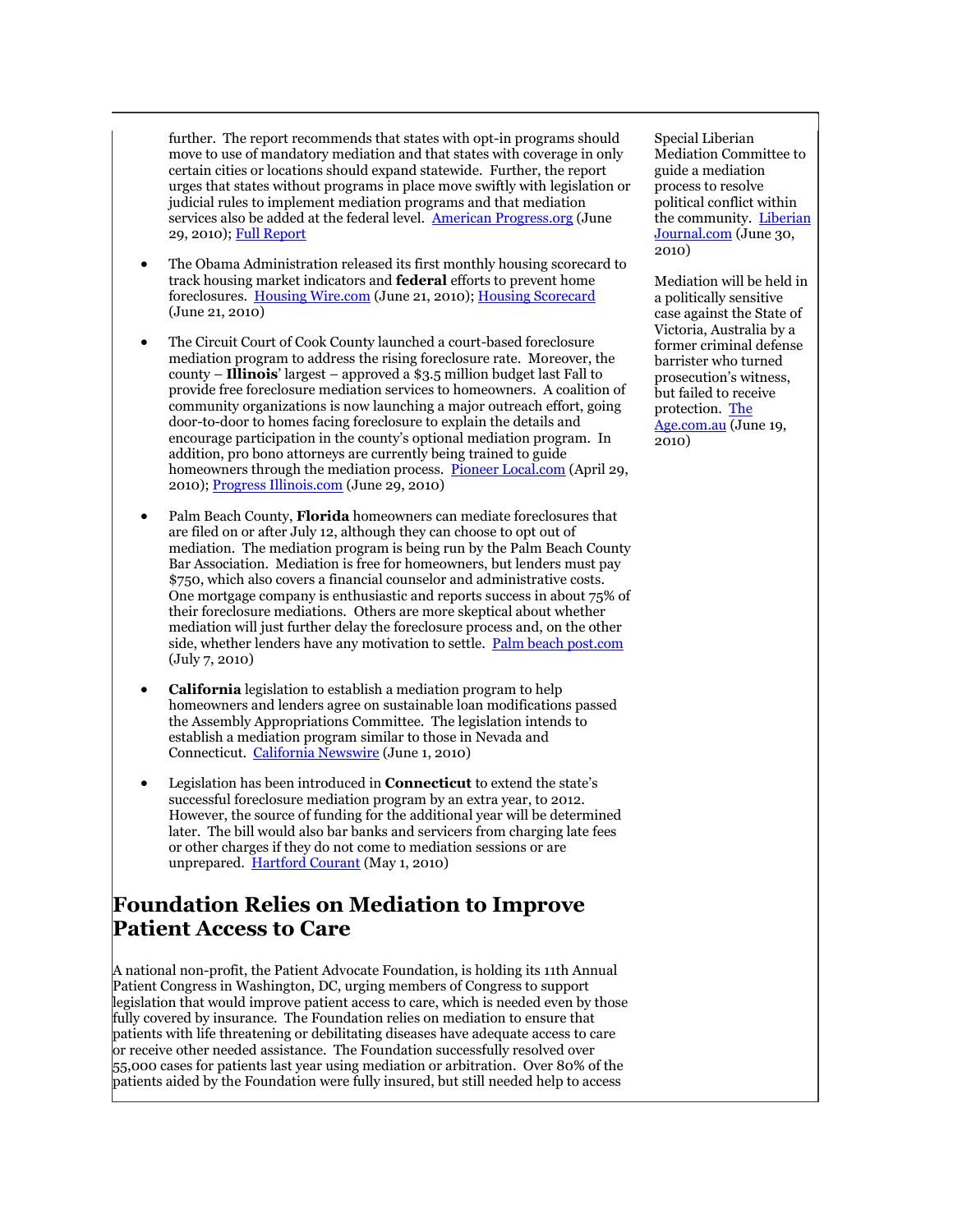further. The report recommends that states with opt-in programs should move to use of mandatory mediation and that states with coverage in only certain cities or locations should expand statewide. Further, the report urges that states without programs in place move swiftly with legislation or judicial rules to implement mediation programs and that mediation services also be added at the federal level. [American Progress.org](http://www.americanprogress.org/issues/2010/06/foreclosure_mediation.html) (June 29, 2010)[; Full Report](http://www.americanprogress.org/issues/2010/06/pdf/foreclosure_mediation.pdf)

- The Obama Administration released its first monthly housing scorecard to track housing market indicators and **federal** efforts to prevent home foreclosures. [Housing Wire.com](http://tinyurl.com/3yauf5s) (June 21, 2010)[; Housing Scorecard](http://portal.hud.gov/portal/page/portal/HUD/documents/scorecard1.11.pdf) (June 21, 2010)
- The Circuit Court of Cook County launched a court-based foreclosure mediation program to address the rising foreclosure rate. Moreover, the county – **Illinois**' largest – approved a \$3.5 million budget last Fall to provide free foreclosure mediation services to homeowners. A coalition of community organizations is now launching a major outreach effort, going door-to-door to homes facing foreclosure to explain the details and encourage participation in the county's optional mediation program. In addition, pro bono attorneys are currently being trained to guide homeowners through the mediation process. [Pioneer Local.com](http://tinyurl.com/39ftmtt) (April 29, 2010)[; Progress Illinois.com](http://progressillinois.com/posts/content/2010/06/29/next-phase-foreclosure-mediation) (June 29, 2010)
- Palm Beach County, **Florida** homeowners can mediate foreclosures that are filed on or after July 12, although they can choose to opt out of mediation. The mediation program is being run by the Palm Beach County Bar Association. Mediation is free for homeowners, but lenders must pay \$750, which also covers a financial counselor and administrative costs. One mortgage company is enthusiastic and reports success in about 75% of their foreclosure mediations. Others are more skeptical about whether mediation will just further delay the foreclosure process and, on the other side, whether lenders have any motivation to settle. [Palm beach post.com](http://www.palmbeachpost.com/money/real-estate/mediation-lets-lenders-borrowers-negotiate-790387.html) (July 7, 2010)
- **California** legislation to establish a mediation program to help homeowners and lenders agree on sustainable loan modifications passed the Assembly Appropriations Committee. The legislation intends to establish a mediation program similar to those in Nevada and Connecticut. [California Newswire](http://californianewswire.com/2010/06/01/CNW7439_193944.php) (June 1, 2010)
- Legislation has been introduced in **Connecticut** to extend the state's successful foreclosure mediation program by an extra year, to 2012. However, the source of funding for the additional year will be determined later. The bill would also bar banks and servicers from charging late fees or other charges if they do not come to mediation sessions or are unprepared. [Hartford Courant](http://tinyurl.com/348wbwe) (May 1, 2010)

### **Foundation Relies on Mediation to Improve Patient Access to Care**

A national non-profit, the Patient Advocate Foundation, is holding its 11th Annual Patient Congress in Washington, DC, urging members of Congress to support legislation that would improve patient access to care, which is needed even by those fully covered by insurance. The Foundation relies on mediation to ensure that patients with life threatening or debilitating diseases have adequate access to care or receive other needed assistance. The Foundation successfully resolved over 55,000 cases for patients last year using mediation or arbitration. Over 80% of the patients aided by the Foundation were fully insured, but still needed help to access

Special Liberian Mediation Committee to guide a mediation process to resolve political conflict within the community. [Liberian](http://tinyurl.com/39xjscl)  [Journal.com](http://tinyurl.com/39xjscl) (June 30, 2010)

Mediation will be held in a politically sensitive case against the State of Victoria, Australia by a former criminal defense barrister who turned prosecution's witness, but failed to receive protection. [The](http://tinyurl.com/39te8fe)  [Age.com.au](http://tinyurl.com/39te8fe) (June 19, 2010)